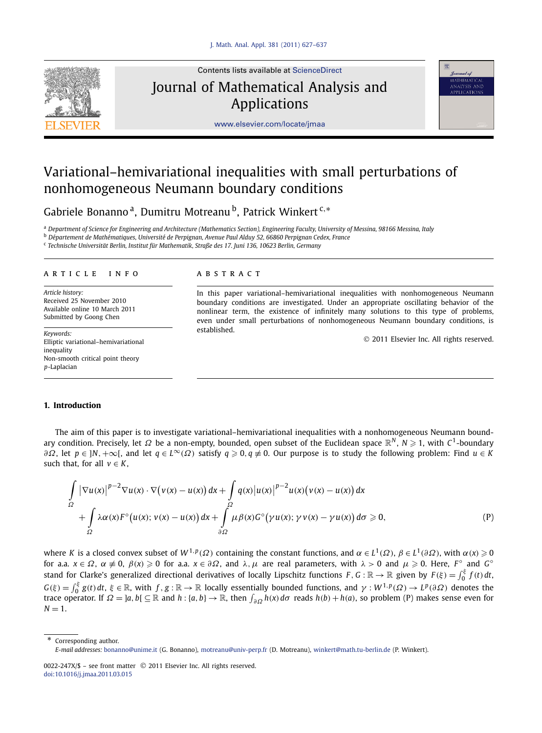

Contents lists available at [ScienceDirect](http://www.ScienceDirect.com/)

Journal of Mathematical Analysis and Applications



[www.elsevier.com/locate/jmaa](http://www.elsevier.com/locate/jmaa)

# Variational–hemivariational inequalities with small perturbations of nonhomogeneous Neumann boundary conditions

Gabriele Bonanno a, Dumitru Motreanu b, Patrick Winkert <sup>c</sup>*,*<sup>∗</sup>

<sup>a</sup> *Department of Science for Engineering and Architecture (Mathematics Section), Engineering Faculty, University of Messina, 98166 Messina, Italy*

<sup>b</sup> *Département de Mathématiques, Université de Perpignan, Avenue Paul Alduy 52, 66860 Perpignan Cedex, France*

<sup>c</sup> *Technische Universität Berlin, Institut für Mathematik, Straße des 17. Juni 136, 10623 Berlin, Germany*

# article info abstract

*Article history:* Received 25 November 2010 Available online 10 March 2011 Submitted by Goong Chen

*Keywords:* Elliptic variational–hemivariational inequality Non-smooth critical point theory *p*-Laplacian

In this paper variational–hemivariational inequalities with nonhomogeneous Neumann boundary conditions are investigated. Under an appropriate oscillating behavior of the nonlinear term, the existence of infinitely many solutions to this type of problems, even under small perturbations of nonhomogeneous Neumann boundary conditions, is established.

© 2011 Elsevier Inc. All rights reserved.

### **1. Introduction**

The aim of this paper is to investigate variational–hemivariational inequalities with a nonhomogeneous Neumann boundary condition. Precisely, let Ω be a non-empty, bounded, open subset of the Euclidean space  $\R^N$ , N ≥ 1, with C<sup>1</sup>-boundary *∂Ω*, let *p* ∈ ]*N*,  $+\infty$ [, and let *q* ∈ *L*∞*(Ω*) satisfy *q* ≥ 0,*q* ≢ 0. Our purpose is to study the following problem: Find *u* ∈ *K* such that, for all  $v \in K$ ,

$$
\int_{\Omega} |\nabla u(x)|^{p-2} \nabla u(x) \cdot \nabla (v(x) - u(x)) dx + \int_{\Omega} q(x) |u(x)|^{p-2} u(x) (v(x) - u(x)) dx + \int_{\Omega} \lambda \alpha(x) F^{\circ} (u(x); v(x) - u(x)) dx + \int_{\partial \Omega} \mu \beta(x) G^{\circ} ( \gamma u(x); \gamma v(x) - \gamma u(x)) d\sigma \ge 0,
$$
\n(P)

where *K* is a closed convex subset of  $W^{1,p}(\Omega)$  containing the constant functions, and  $\alpha\in L^1(\Omega)$ ,  $\beta\in L^1(\partial\Omega)$ , with  $\alpha(x)\geqslant 0$ for a.a.  $x \in \Omega$ ,  $\alpha \neq 0$ ,  $\beta(x) \geqslant 0$  for a.a.  $x \in \partial\Omega$ , and  $\lambda$ ,  $\mu$  are real parameters, with  $\lambda > 0$  and  $\mu \geqslant 0$ . Here,  $F^{\circ}$  and  $G^{\circ}$ stand for Clarke's generalized directional derivatives of locally Lipschitz functions  $F,G:\mathbb{R}\to\mathbb{R}$  given by  $F(\xi)=\int_0^\xi f(t)\,dt,$  $G(\xi)=\int_0^{\xi} g(t) dt$ ,  $\xi \in \mathbb{R}$ , with  $f,g:\mathbb{R}\to\mathbb{R}$  locally essentially bounded functions, and  $\gamma:W^{1,p}(\Omega)\to L^p(\partial\Omega)$  denotes the trace operator. If  $\Omega = [a, b] \subseteq \mathbb{R}$  and  $h : \{a, b\} \to \mathbb{R}$ , then  $\int_{\partial \Omega} h(x) d\sigma$  reads  $h(b) + h(a)$ , so problem (P) makes sense even for  $N = 1$ .

Corresponding author.

*E-mail addresses:* [bonanno@unime.it](mailto:bonanno@unime.it) (G. Bonanno), [motreanu@univ-perp.fr](mailto:motreanu@univ-perp.fr) (D. Motreanu), [winkert@math.tu-berlin.de](mailto:winkert@math.tu-berlin.de) (P. Winkert).

<sup>0022-247</sup>X/\$ – see front matter © 2011 Elsevier Inc. All rights reserved. [doi:10.1016/j.jmaa.2011.03.015](http://dx.doi.org/10.1016/j.jmaa.2011.03.015)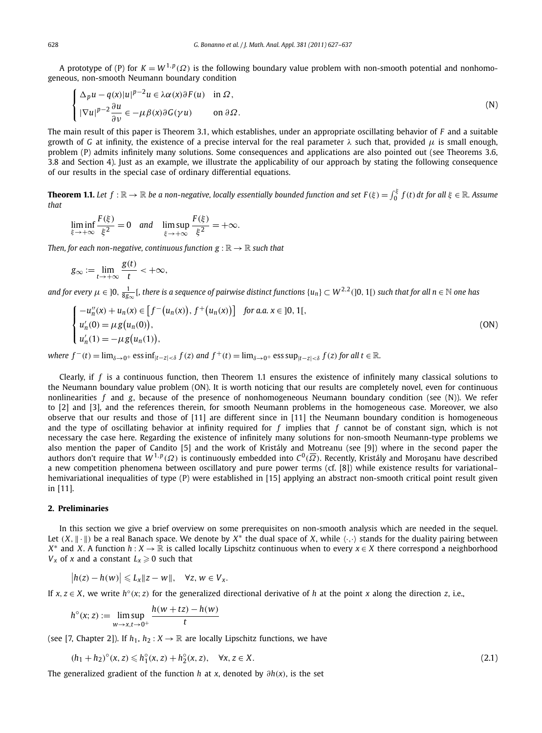A prototype of (P) for  $K = W^{1,p}(\Omega)$  is the following boundary value problem with non-smooth potential and nonhomogeneous, non-smooth Neumann boundary condition

$$
\begin{cases} \Delta_p u - q(x)|u|^{p-2}u \in \lambda \alpha(x)\partial F(u) & \text{in } \Omega, \\ |\nabla u|^{p-2} \frac{\partial u}{\partial \nu} \in -\mu \beta(x)\partial G(\gamma u) & \text{on } \partial \Omega. \end{cases}
$$
 (N)

The main result of this paper is Theorem 3.1, which establishes, under an appropriate oscillating behavior of *F* and a suitable growth of *G* at infinity, the existence of a precise interval for the real parameter *λ* such that, provided *μ* is small enough, problem (P) admits infinitely many solutions. Some consequences and applications are also pointed out (see Theorems 3.6, 3.8 and Section 4). Just as an example, we illustrate the applicability of our approach by stating the following consequence of our results in the special case of ordinary differential equations.

**Theorem 1.1.** Let  $f:\mathbb{R}\to\mathbb{R}$  be a non-negative, locally essentially bounded function and set  $F(\xi)=\int_0^\xi f(t)\,dt$  for all  $\xi\in\mathbb{R}$ . Assume *that*

$$
\liminf_{\xi \to +\infty} \frac{F(\xi)}{\xi^2} = 0 \quad \text{and} \quad \limsup_{\xi \to +\infty} \frac{F(\xi)}{\xi^2} = +\infty.
$$

*Then, for each non-negative, continuous function*  $g : \mathbb{R} \to \mathbb{R}$  *such that* 

$$
g_{\infty} := \lim_{t \to +\infty} \frac{g(t)}{t} < +\infty,
$$

and for every  $\mu\in$  ]0,  $\frac{1}{8g_\infty}$ [, there is a sequence of pairwise distinct functions  $\{u_n\}\subset W^{2,2}(]$ 0, 1[) such that for all  $n\in\mathbb{N}$  one has

$$
\begin{cases}\n-u''_n(x) + u_n(x) \in [f^-(u_n(x)), f^+(u_n(x))] & \text{for a.a. } x \in ]0, 1[, \\
u'_n(0) = \mu g(u_n(0)), \\
u'_n(1) = -\mu g(u_n(1)),\n\end{cases} \tag{ON}
$$

where  $f^-(t) = \lim_{\delta \to 0^+}$  ess  $\inf_{|t-z| < \delta} f(z)$  and  $f^+(t) = \lim_{\delta \to 0^+}$  ess  $\sup_{|t-z| < \delta} f(z)$  for all  $t \in \mathbb{R}$ .

Clearly, if  $f$  is a continuous function, then Theorem 1.1 ensures the existence of infinitely many classical solutions to the Neumann boundary value problem (ON). It is worth noticing that our results are completely novel, even for continuous nonlinearities *f* and *g*, because of the presence of nonhomogeneous Neumann boundary condition (see (N)). We refer to [2] and [3], and the references therein, for smooth Neumann problems in the homogeneous case. Moreover, we also observe that our results and those of [11] are different since in [11] the Neumann boundary condition is homogeneous and the type of oscillating behavior at infinity required for *f* implies that *f* cannot be of constant sign, which is not necessary the case here. Regarding the existence of infinitely many solutions for non-smooth Neumann-type problems we also mention the paper of Candito [5] and the work of Kristály and Motreanu (see [9]) where in the second paper the authors don't require that  $W^{1,p}(\Omega)$  is continuously embedded into  $C^0(\overline{\Omega})$ . Recently, Kristály and Moroşanu have described a new competition phenomena between oscillatory and pure power terms (cf. [8]) while existence results for variational– hemivariational inequalities of type (P) were established in [15] applying an abstract non-smooth critical point result given in [11].

# **2. Preliminaries**

In this section we give a brief overview on some prerequisites on non-smooth analysis which are needed in the sequel. Let  $(X, \|\cdot\|)$  be a real Banach space. We denote by  $X^*$  the dual space of *X*, while  $\langle \cdot, \cdot \rangle$  stands for the duality pairing between *X*<sup>∗</sup> and *X*. A function *h* : *X* →  $\mathbb R$  is called locally Lipschitz continuous when to every *x* ∈ *X* there correspond a neighborhood  $V_x$  of *x* and a constant  $L_x \geqslant 0$  such that

$$
\big|h(z)-h(w)\big|\leqslant L_x\|z-w\|,\quad\forall z,\,w\in V_x.
$$

If *x*, *z* ∈ *X*, we write *h*°(*x*; *z*) for the generalized directional derivative of *h* at the point *x* along the direction *z*, i.e.,

$$
h^{\circ}(x; z) := \limsup_{w \to x, t \to 0^{+}} \frac{h(w + tz) - h(w)}{t}
$$

(see [7, Chapter 2]). If  $h_1, h_2: X \to \mathbb{R}$  are locally Lipschitz functions, we have

$$
(h_1 + h_2)^{\circ}(x, z) \leq h_1^{\circ}(x, z) + h_2^{\circ}(x, z), \quad \forall x, z \in X.
$$
 (2.1)

The generalized gradient of the function *h* at *x*, denoted by *∂h(x)*, is the set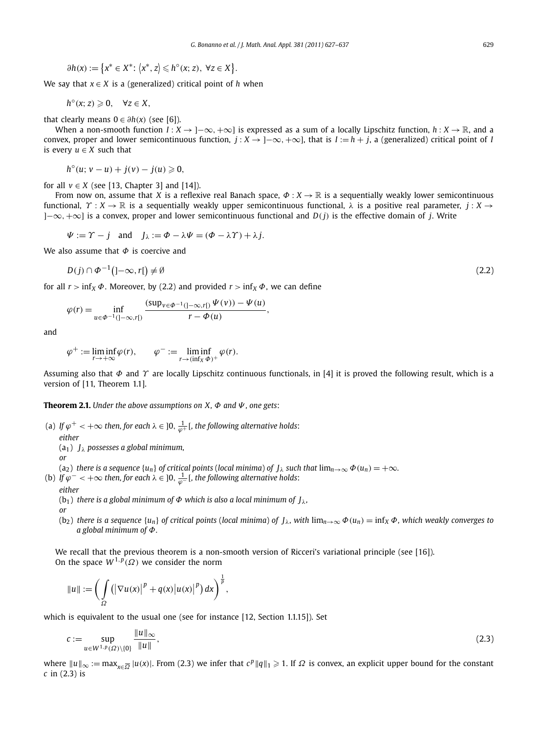$$
\partial h(x) := \left\{ x^* \in X^* \colon \langle x^*, z \rangle \leq h^\circ(x; z), \ \forall z \in X \right\}.
$$

We say that  $x \in X$  is a (generalized) critical point of *h* when

$$
h^{\circ}(x; z) \geqslant 0, \quad \forall z \in X,
$$

that clearly means  $0 \in \partial h(x)$  (see [6]).

When a non-smooth function *I* : *X* → ]−∞*,*+∞] is expressed as a sum of a locally Lipschitz function, *h* : *X* → R, and a convex, proper and lower semicontinuous function,  $j: X \to ]-\infty, +\infty]$ , that is  $I := h + j$ , a (generalized) critical point of *I* is every  $u \in X$  such that

$$
h^{\circ}(u; v-u)+j(v)-j(u)\geqslant 0,
$$

for all  $v \in X$  (see [13, Chapter 3] and [14]).

From now on, assume that *X* is a reflexive real Banach space,  $\Phi: X \to \mathbb{R}$  is a sequentially weakly lower semicontinuous functional, *Υ* : *X* → R is a sequentially weakly upper semicontinuous functional, *λ* is a positive real parameter, *j* : *X* → ]−∞*,*+∞] is a convex, proper and lower semicontinuous functional and *D(j)* is the effective domain of *j*. Write

 $\Psi := \Upsilon - j$  and  $J_{\lambda} := \Phi - \lambda \Psi = (\Phi - \lambda \Upsilon) + \lambda j$ .

We also assume that *Φ* is coercive and

$$
D(j) \cap \Phi^{-1}(|-\infty, r|) \neq \emptyset
$$
\n<sup>(2.2)</sup>

for all  $r > \inf_X \Phi$ . Moreover, by (2.2) and provided  $r > \inf_X \Phi$ , we can define

$$
\varphi(r) = \inf_{u \in \Phi^{-1}(]-\infty, r[)} \frac{(\sup_{v \in \Phi^{-1}(]-\infty, r[)} \Psi(v)) - \Psi(u)}{r - \Phi(u)},
$$

and

$$
\varphi^+ := \liminf_{r \to +\infty} \varphi(r), \qquad \varphi^- := \liminf_{r \to (\inf_X \Phi)^+} \varphi(r).
$$

Assuming also that *Φ* and *Υ* are locally Lipschitz continuous functionals, in [4] it is proved the following result, which is a version of [11, Theorem 1.1].

**Theorem 2.1.** *Under the above assumptions on X, Φ and Ψ , one gets*:

(a) If  $\varphi^+<+\infty$  then, for each  $\lambda\in$  ]0,  $\frac{1}{\varphi^+}$  [, the following alternative holds:

*either*

(a1) *Jλ possesses a global minimum,*

$$
\quad or \quad
$$

 $(a_2)$  *there is a sequence*  $\{u_n\}$  *of critical points* (*local minima*) *of*  $J_\lambda$  *such that*  $\lim_{n\to\infty} \Phi(u_n) = +\infty$ *.* 

(b) If  $\varphi^{-}<+\infty$  then, for each  $\lambda\in{]0,\frac{1}{\varphi^{-}}[}$ , the following alternative holds:

#### *either*

(b<sub>1</sub>) *there is a global minimum of*  $\Phi$  *which is also a local minimum of*  $J_{\lambda}$ *,* 

- *or*
- $(b_2)$  *there is a sequence*  $\{u_n\}$  *of critical points* (*local minima*) *of*  $J_\lambda$ *, with*  $\lim_{n\to\infty} \Phi(u_n) = \inf_X \Phi$ *, which weakly converges to a global minimum of Φ.*

We recall that the previous theorem is a non-smooth version of Ricceri's variational principle (see [16]). On the space  $W^{1,p}(\Omega)$  we consider the norm

$$
||u|| := \left(\int_{\Omega} \left(\left|\nabla u(x)\right|^p + q(x)\left|u(x)\right|^p\right) dx\right)^{\frac{1}{p}},
$$

which is equivalent to the usual one (see for instance [12, Section 1.1.15]). Set

$$
c := \sup_{u \in W^{1,p}(\Omega) \setminus \{0\}} \frac{\|u\|_{\infty}}{\|u\|},\tag{2.3}
$$

where  $||u||_{\infty} := \max_{x \in \overline{\Omega}} |u(x)|$ . From (2.3) we infer that  $c^p ||q||_1 \geqslant 1$ . If  $\Omega$  is convex, an explicit upper bound for the constant *c* in (2.3) is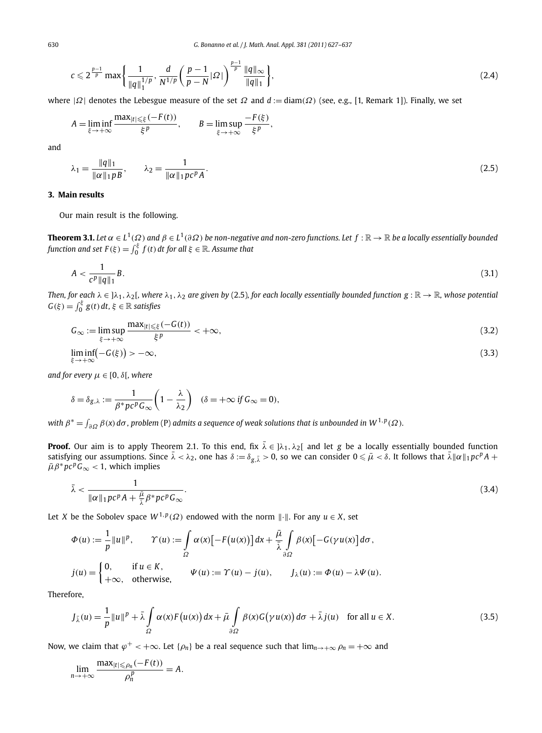$$
c \leqslant 2^{\frac{p-1}{p}} \max \bigg\{ \frac{1}{\|q\|_1^{1/p}}, \frac{d}{N^{1/p}} \bigg( \frac{p-1}{p-N} |Q| \bigg)^{\frac{p-1}{p}} \frac{\|q\|_{\infty}}{\|q\|_1} \bigg\},\tag{2.4}
$$

where |*Ω*| denotes the Lebesgue measure of the set *Ω* and *d* := diam*(Ω)* (see, e.g., [1, Remark 1]). Finally, we set

$$
A = \liminf_{\xi \to +\infty} \frac{\max_{|t| \leq \xi} (-F(t))}{\xi^p}, \qquad B = \limsup_{\xi \to +\infty} \frac{-F(\xi)}{\xi^p},
$$

and

$$
\lambda_1 = \frac{\|q\|_1}{\|\alpha\|_1 p B}, \qquad \lambda_2 = \frac{1}{\|\alpha\|_1 p c^p A}.
$$
\n(2.5)

# **3. Main results**

Our main result is the following.

**Theorem 3.1.** *Let*  $\alpha \in L^1(\Omega)$  and  $\beta \in L^1(\partial \Omega)$  *be non-negative and non-zero functions. Let*  $f : \mathbb{R} \to \mathbb{R}$  *be a locally essentially bounded function and set*  $F(\xi) = \int_0^{\xi} f(t) dt$  *for all*  $\xi \in \mathbb{R}$ *. Assume that* 

$$
A < \frac{1}{c^p \|q\|_1} B. \tag{3.1}
$$

*Then, for each*  $\lambda \in ]\lambda_1, \lambda_2[$ *, where*  $\lambda_1, \lambda_2$  *are given by* (2.5)*, for each locally essentially bounded function*  $g : \mathbb{R} \to \mathbb{R}$ *<i>, whose potential*  $G(\xi) = \int_0^{\xi} g(t) dt$ ,  $\xi \in \mathbb{R}$  *satisfies* 

$$
G_{\infty} := \limsup_{\xi \to +\infty} \frac{\max_{|t| \le \xi} (-G(t))}{\xi^p} < +\infty,
$$
\n(3.2)

$$
\liminf_{\xi \to +\infty} \left( -G(\xi) \right) > -\infty,\tag{3.3}
$$

*and for every*  $\mu \in [0, \delta]$ *, where* 

$$
\delta = \delta_{g,\lambda} := \frac{1}{\beta^* p c^p G_{\infty}} \left( 1 - \frac{\lambda}{\lambda_2} \right) \quad (\delta = +\infty \text{ if } G_{\infty} = 0),
$$

 $\phi^* = \int_{\partial \Omega} \beta(x) d\sigma$  *, problem* (P) admits a sequence of weak solutions that is unbounded in  $W^{1,p}(\Omega)$ .

**Proof.** Our aim is to apply Theorem 2.1. To this end, fix  $\bar{\lambda} \in ]\lambda_1, \lambda_2[$  and let *g* be a locally essentially bounded function satisfying our assumptions. Since  $\bar{\lambda} < \lambda_2$ , one has  $\delta := \delta_{g,\bar{\lambda}} > 0$ , so we can consider  $0 \le \bar{\mu} < \delta$ . It follows that  $\bar{\lambda} \|\alpha\|_1 pc^p A$  +  $\bar{\mu} \beta^* p c^p G_{\infty} < 1$ , which implies

$$
\bar{\lambda} < \frac{1}{\|\alpha\|_1 p c^p A + \frac{\bar{\mu}}{\bar{\lambda}} \beta^* p c^p G_\infty}.\tag{3.4}
$$

Let *X* be the Sobolev space  $W^{1,p}(\Omega)$  endowed with the norm  $\|\cdot\|$ . For any  $u \in X$ , set

$$
\Phi(u) := \frac{1}{p} ||u||^p, \qquad \Upsilon(u) := \int_{\Omega} \alpha(x) [-F(u(x))] dx + \frac{\bar{\mu}}{\bar{\lambda}} \int_{\partial\Omega} \beta(x) [-G(\gamma u(x)] d\sigma,
$$
  

$$
j(u) = \begin{cases} 0, & \text{if } u \in K, \\ +\infty, & \text{otherwise,} \end{cases} \qquad \Psi(u) := \Upsilon(u) - j(u), \qquad J_{\lambda}(u) := \Phi(u) - \lambda \Psi(u).
$$

Therefore,

$$
J_{\bar{\lambda}}(u) = \frac{1}{p} ||u||^p + \bar{\lambda} \int_{\Omega} \alpha(x) F(u(x)) dx + \bar{\mu} \int_{\partial\Omega} \beta(x) G(\gamma u(x)) d\sigma + \bar{\lambda} j(u) \quad \text{for all } u \in X.
$$
 (3.5)

Now, we claim that  $\varphi^+$  <  $+\infty$ . Let  $\{\rho_n\}$  be a real sequence such that  $\lim_{n\to+\infty}\rho_n=+\infty$  and

$$
\lim_{n\to+\infty}\frac{\max_{|t|\leq \rho_n}(-F(t))}{\rho_n^p}=A.
$$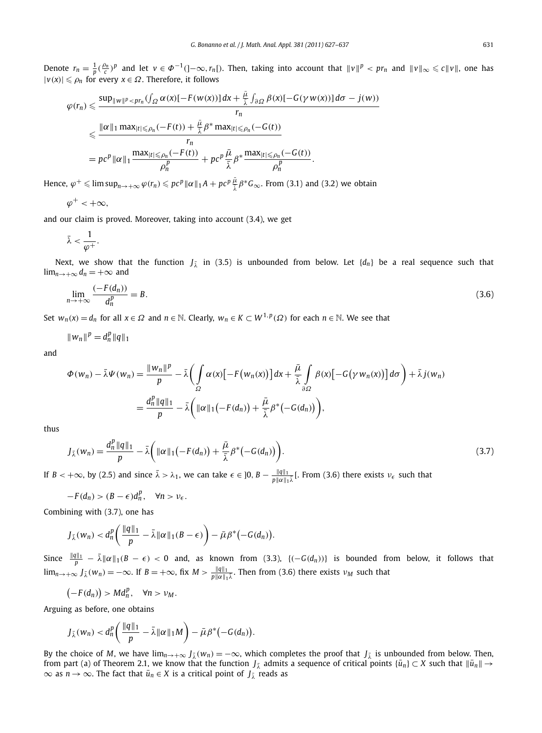Denote  $r_n = \frac{1}{p}(\frac{\rho_n}{c})^p$  and let  $v \in \Phi^{-1}(\ ]-\infty,r_n[)$ . Then, taking into account that  $||v||^p < pr_n$  and  $||v||_{\infty} \leqslant c||v||$ , one has  $|v(x)|$  ≤  $\rho_n$  for every *x* ∈  $\Omega$ . Therefore, it follows

$$
\varphi(r_n) \leq \frac{\sup_{\|w\|^p < pr_n(\int_{\Omega} \alpha(x)[-F(w(x))] \, dx + \frac{\bar{\mu}}{\lambda} \int_{\partial \Omega} \beta(x)[-G(\gamma w(x))] \, d\sigma - j(w))}}{r_n}
$$
\n
$$
\leq \frac{\|\alpha\|_1 \max_{|t| \leq \rho_n} (-F(t)) + \frac{\bar{\mu}}{\lambda} \beta^* \max_{|t| \leq \rho_n} (-G(t))}{r_n}
$$
\n
$$
= pc^p \|\alpha\|_1 \frac{\max_{|t| \leq \rho_n} (-F(t))}{\rho_n^p} + pc^p \frac{\bar{\mu}}{\lambda} \beta^* \frac{\max_{|t| \leq \rho_n} (-G(t))}{\rho_n^p}.
$$

Hence,  $\varphi^+ \leqslant \limsup_{n \to +\infty} \varphi(r_n) \leqslant p c^p \|\alpha\|_1 A + p c^p \frac{\bar{\mu}}{\bar{\lambda}} \beta^* G_\infty$ . From (3.1) and (3.2) we obtain

$$
\varphi^+<+\infty,
$$

and our claim is proved. Moreover, taking into account (3.4), we get

$$
\bar{\lambda}<\frac{1}{\varphi^+}.
$$

Next, we show that the function  $J_{\bar{\lambda}}$  in (3.5) is unbounded from below. Let  $\{d_n\}$  be a real sequence such that  $\lim_{n\to+\infty}$  *d<sub>n</sub>* =  $+\infty$  and

$$
\lim_{n \to +\infty} \frac{(-F(d_n))}{d_n^p} = B. \tag{3.6}
$$

Set  $w_n(x) = d_n$  for all  $x \in \Omega$  and  $n \in \mathbb{N}$ . Clearly,  $w_n \in K \subset W^{1,p}(\Omega)$  for each  $n \in \mathbb{N}$ . We see that

$$
||w_n||^p = d_n^p ||q||_1
$$

and

$$
\Phi(w_n) - \bar{\lambda}\Psi(w_n) = \frac{\|w_n\|^p}{p} - \bar{\lambda}\left(\int_{\Omega} \alpha(x)\left[-F(w_n(x))\right]dx + \frac{\bar{\mu}}{\bar{\lambda}}\int_{\partial\Omega} \beta(x)\left[-G(\gamma w_n(x))\right]d\sigma\right) + \bar{\lambda}j(w_n)
$$

$$
= \frac{d_n^p \|q\|_1}{p} - \bar{\lambda}\left(\|\alpha\|_1\left(-F(d_n)\right) + \frac{\bar{\mu}}{\bar{\lambda}}\beta^*(-G(d_n)\right)\right),
$$

thus

$$
J_{\bar{\lambda}}(w_n) = \frac{d_n^p \|q\|_1}{p} - \bar{\lambda} \bigg( \| \alpha \|_1 \big( - F(d_n) \big) + \frac{\bar{\mu}}{\bar{\lambda}} \beta^* \big( - G(d_n) \big) \bigg). \tag{3.7}
$$

If  $B < +\infty$ , by (2.5) and since  $\bar{\lambda} > \lambda_1$ , we can take  $\epsilon \in ]0, B - \frac{\|q\|_1}{p\|\alpha\|_1 \bar{\lambda}}$ . From (3.6) there exists  $\nu_{\epsilon}$  such that

$$
-F(d_n) > (B - \epsilon)d_n^p, \quad \forall n > \nu_{\epsilon}.
$$

Combining with (3.7), one has

$$
J_{\bar{\lambda}}(w_n) < d_n^p \bigg( \frac{\|q\|_1}{p} - \bar{\lambda} \|\alpha\|_1 (B - \epsilon) \bigg) - \bar{\mu} \beta^* \big( -G(d_n) \big).
$$

Since  $\frac{\|q\|_1}{p} - \bar{\lambda} \|\alpha\|_1 (B - \epsilon) < 0$  and, as known from (3.3), {(-G( $d_n$ ))} is bounded from below, it follows that  $\lim_{n\to+\infty} J_{\bar{\lambda}}(w_n) = -\infty$ . If  $B = +\infty$ , fix  $M > \frac{\|q\|_1}{p\|\alpha\|_1\bar{\lambda}}$ . Then from (3.6) there exists  $\nu_M$  such that

$$
(-F(d_n)) > Md_n^p, \quad \forall n > \nu_M.
$$

Arguing as before, one obtains

$$
J_{\bar{\lambda}}(w_n) < d_n^p \bigg( \frac{\|q\|_1}{p} - \bar{\lambda} \|\alpha\|_1 M \bigg) - \bar{\mu} \beta^* \big( -G(d_n) \big).
$$

By the choice of *M*, we have  $\lim_{n\to+\infty} J_{\lambda}(w_n) = -\infty$ , which completes the proof that  $J_{\lambda}$  is unbounded from below. Then, from part (a) of Theorem 2.1, we know that the function  $J_{\bar{\lambda}}$  admits a sequence of critical points  $\{\bar{u}_n\} \subset X$  such that  $\|\bar{u}_n\| \to$  $\infty$  as *n* →  $\infty$ . The fact that  $\bar{u}_n \in X$  is a critical point of  $J_{\bar{\lambda}}$  reads as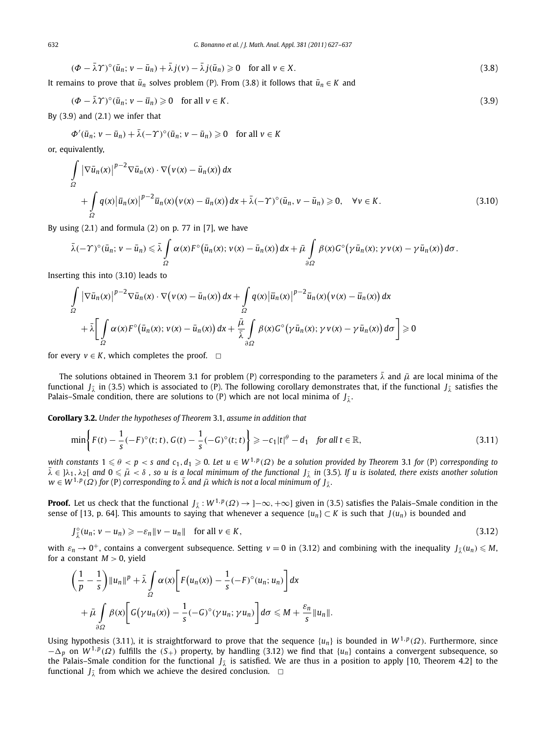$$
(\Phi - \bar{\lambda}\Upsilon)^{\circ}(\bar{u}_n; v - \bar{u}_n) + \bar{\lambda}j(v) - \bar{\lambda}j(\bar{u}_n) \ge 0 \quad \text{for all } v \in X. \tag{3.8}
$$

It remains to prove that  $\bar{u}_n$  solves problem (P). From (3.8) it follows that  $\bar{u}_n \in K$  and

$$
(\Phi - \bar{\lambda}\Upsilon)^{\circ}(\bar{u}_n; v - \bar{u}_n) \geq 0 \quad \text{for all } v \in K. \tag{3.9}
$$

By  $(3.9)$  and  $(2.1)$  we infer that

$$
\Phi'(\bar{u}_n; v - \bar{u}_n) + \bar{\lambda}(-\Upsilon)^{\circ}(\bar{u}_n; v - \bar{u}_n) \geq 0 \quad \text{for all } v \in K
$$

or, equivalently,

$$
\int_{\Omega} |\nabla \bar{u}_n(x)|^{p-2} \nabla \bar{u}_n(x) \cdot \nabla \big(v(x) - \bar{u}_n(x)\big) dx \n+ \int_{\Omega} q(x) |\bar{u}_n(x)|^{p-2} \bar{u}_n(x) \big(v(x) - \bar{u}_n(x)\big) dx + \bar{\lambda}(-\Upsilon)^{\circ} (\bar{u}_n, v - \bar{u}_n) \geq 0, \quad \forall v \in K.
$$
\n(3.10)

By using  $(2.1)$  and formula  $(2)$  on p. 77 in  $[7]$ , we have

$$
\bar{\lambda}(-\Upsilon)^{\circ}(\bar{u}_n; \nu - \bar{u}_n) \leq \bar{\lambda} \int_{\Omega} \alpha(x) F^{\circ}(\bar{u}_n(x); \nu(x) - \bar{u}_n(x)) dx + \bar{\mu} \int_{\partial\Omega} \beta(x) G^{\circ}(\gamma \bar{u}_n(x); \gamma \nu(x) - \gamma \bar{u}_n(x)) d\sigma.
$$

Inserting this into (3.10) leads to

$$
\int_{\Omega} |\nabla \bar{u}_n(x)|^{p-2} \nabla \bar{u}_n(x) \cdot \nabla (\nu(x) - \bar{u}_n(x)) dx + \int_{\Omega} q(x) |\bar{u}_n(x)|^{p-2} \bar{u}_n(x) (\nu(x) - \bar{u}_n(x)) dx
$$
  
+  $\bar{\lambda} \Biggl[ \int_{\Omega} \alpha(x) F^{\circ} (\bar{u}_n(x); \nu(x) - \bar{u}_n(x)) dx + \frac{\bar{\mu}}{\bar{\lambda}} \int_{\partial \Omega} \beta(x) G^{\circ} (\gamma \bar{u}_n(x); \gamma \nu(x) - \gamma \bar{u}_n(x)) d\sigma \Biggr] \ge 0$ 

for every  $v \in K$ , which completes the proof.  $\Box$ 

The solutions obtained in Theorem 3.1 for problem (P) corresponding to the parameters  $\bar{\lambda}$  and  $\bar{\mu}$  are local minima of the functional *J*<sub> $\bar{\lambda}$ </sub> in (3.5) which is associated to (P). The following corollary demonstrates that, if the functional *J*<sub> $\bar{\lambda}$ </sub> satisfies the Palais–Smale condition, there are solutions to (P) which are not local minima of  $J_{\bar{\lambda}}$ .

**Corollary 3.2.** *Under the hypotheses of Theorem* 3.1*, assume in addition that*

$$
\min\left\{F(t) - \frac{1}{s}(-F)^{\circ}(t; t), G(t) - \frac{1}{s}(-G)^{\circ}(t; t)\right\} \ge -c_1|t|^{\theta} - d_1 \quad \text{for all } t \in \mathbb{R},\tag{3.11}
$$

with constants  $1\leqslant\theta < p <$  s and  $c_1,d_1\geqslant 0$ . Let  $u\in W^{1,p}(\Omega)$  be a solution provided by Theorem 3.1 for (P) corresponding to  $\bar{\lambda} \in \Lambda_1, \lambda_2$  and  $0 \le \bar{\mu} < \delta$ , so u is a local minimum of the functional  $J_{\bar{\lambda}}$  in (3.5). If u is isolated, there exists another solution  $w \in W^{1,p}(\Omega)$  *for* (P) *corresponding to*  $\overline{\lambda}$  *and*  $\overline{\mu}$  *which is not a local minimum of*  $J_{\overline{\lambda}}$ *.* 

**Proof.** Let us check that the functional  $J_{\bar{\lambda}} : W^{1,p}(\Omega) \to ]-\infty, +\infty]$  given in (3.5) satisfies the Palais–Smale condition in the sense of [13, p. 64]. This amounts to saying that whenever a sequence  $\{u_n\} \subset K$  is such that  $J(u_n)$  is bounded and

$$
J_{\bar{\lambda}}^{\circ}(u_n; \nu - u_n) \geq -\varepsilon_n \| \nu - u_n \| \quad \text{for all } \nu \in K,
$$
\n
$$
(3.12)
$$

with  $\varepsilon_n \to 0^+$ , contains a convergent subsequence. Setting  $v = 0$  in (3.12) and combining with the inequality  $J_{\overline{\lambda}}(u_n) \le M$ , for a constant  $M > 0$ , yield

$$
\left(\frac{1}{p}-\frac{1}{s}\right)||u_n||^p+\bar{\lambda}\int_{\Omega}\alpha(x)\bigg[F(u_n(x))-\frac{1}{s}(-F)^{\circ}(u_n;u_n)\bigg]dx
$$
  
 
$$
+\bar{\mu}\int_{\partial\Omega}\beta(x)\bigg[G(\gamma u_n(x))-\frac{1}{s}(-G)^{\circ}(\gamma u_n;\gamma u_n)\bigg]d\sigma\leq M+\frac{\varepsilon_n}{s}||u_n||.
$$

Using hypothesis (3.11), it is straightforward to prove that the sequence  $\{u_n\}$  is bounded in  $W^{1,p}(\Omega)$ . Furthermore, since  $-\Delta_p$  on  $W^{1,p}(\Omega)$  fulfills the  $(S_+)$  property, by handling (3.12) we find that  $\{u_n\}$  contains a convergent subsequence, so the Palais–Smale condition for the functional  $J_{\bar{\lambda}}$  is satisfied. We are thus in a position to apply [10, Theorem 4.2] to the functional  $J_{\bar{\lambda}}$  from which we achieve the desired conclusion.  $\Box$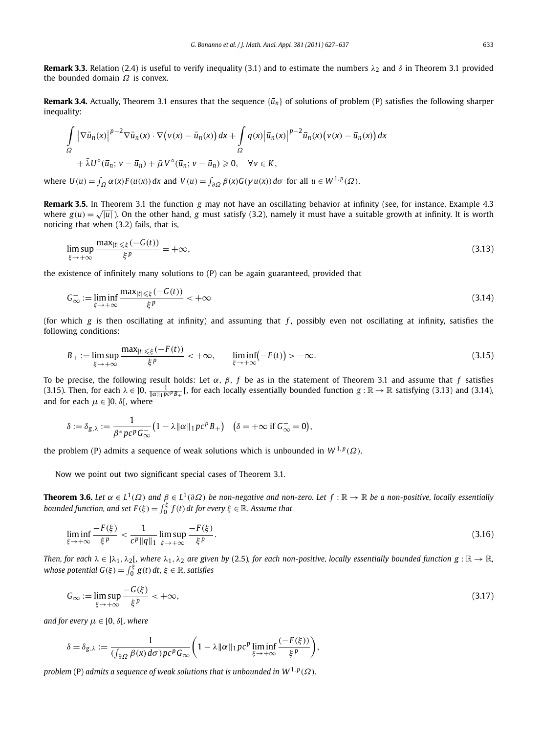**Remark 3.3.** Relation (2.4) is useful to verify inequality (3.1) and to estimate the numbers  $\lambda_2$  and  $\delta$  in Theorem 3.1 provided the bounded domain *Ω* is convex.

**Remark 3.4.** Actually, Theorem 3.1 ensures that the sequence  $\{\bar{u}_n\}$  of solutions of problem (P) satisfies the following sharper inequality:

$$
\int_{\Omega} |\nabla \bar{u}_n(x)|^{p-2} \nabla \bar{u}_n(x) \cdot \nabla \big(v(x) - \bar{u}_n(x)\big) dx + \int_{\Omega} q(x) |\bar{u}_n(x)|^{p-2} \bar{u}_n(x) \big(v(x) - \bar{u}_n(x)\big) dx
$$
  
+  $\bar{\lambda} U^{\circ} (\bar{u}_n; v - \bar{u}_n) + \bar{\mu} V^{\circ} (\bar{u}_n; v - \bar{u}_n) \ge 0, \quad \forall v \in K,$ 

where  $U(u) = \int_{\Omega} \alpha(x) F(u(x)) dx$  and  $V(u) = \int_{\partial \Omega} \beta(x) G(\gamma u(x)) d\sigma$  for all  $u \in W^{1,p}(\Omega)$ .

**Remark 3.5.** In Theorem 3.1 the function *g* may not have an oscillating behavior at infinity (see, for instance, Example 4.3 where  $g(u) = \sqrt{|u|}$ . On the other hand, *g* must satisfy (3.2), namely it must have a suitable growth at infinity. It is worth noticing that when (3.2) fails, that is,

$$
\limsup_{\xi \to +\infty} \frac{\max_{|t| \le \xi} (-G(t))}{\xi^p} = +\infty, \tag{3.13}
$$

the existence of infinitely many solutions to (P) can be again guaranteed, provided that

$$
G_{\infty}^{-} := \liminf_{\xi \to +\infty} \frac{\max_{|t| \leq \xi} (-G(t))}{\xi^p} < +\infty
$$
\n(3.14)

(for which *g* is then oscillating at infinity) and assuming that *f* , possibly even not oscillating at infinity, satisfies the following conditions:

$$
B_{+} := \limsup_{\xi \to +\infty} \frac{\max_{|t| \leq \xi} (-F(t))}{\xi^{p}} < +\infty, \qquad \liminf_{\xi \to +\infty} (-F(t)) > -\infty.
$$
\n(3.15)

To be precise, the following result holds: Let *α*, *β*, *f* be as in the statement of Theorem 3.1 and assume that *f* satisfies (3.15). Then, for each  $\lambda \in ]0, \frac{1}{\|\alpha\|_1 p c^p B_+}[$ , for each locally essentially bounded function  $g : \mathbb{R} \to \mathbb{R}$  satisfying (3.13) and (3.14), and for each  $\mu \in ]0, \delta[$ , where

$$
\delta := \delta_{g,\lambda} := \frac{1}{\beta^* p c^p G_{\infty}^{-}} \big( 1 - \lambda \|\alpha\|_1 p c^p B_+ \big) \quad (\delta = +\infty \text{ if } G_{\infty}^{-} = 0 \big),
$$

the problem (P) admits a sequence of weak solutions which is unbounded in  $W^{1,p}(\Omega)$ .

Now we point out two significant special cases of Theorem 3.1.

**Theorem 3.6.** *Let*  $\alpha \in L^1(\Omega)$  and  $\beta \in L^1(\partial \Omega)$  *be non-negative and non-zero. Let*  $f : \mathbb{R} \to \mathbb{R}$  *be a non-positive, locally essentially bounded function, and set*  $F(\xi) = \int_0^{\xi} f(t) dt$  *for every*  $\xi \in \mathbb{R}$ *. Assume that* 

$$
\liminf_{\xi \to +\infty} \frac{-F(\xi)}{\xi^p} < \frac{1}{c^p \|q\|_1} \limsup_{\xi \to +\infty} \frac{-F(\xi)}{\xi^p}.\tag{3.16}
$$

*Then, for each*  $\lambda \in \beta \lambda_1, \lambda_2$ , where  $\lambda_1, \lambda_2$  are given by (2.5), for each non-positive, locally essentially bounded function  $g : \mathbb{R} \to \mathbb{R}$ , *whose potential*  $G(\xi) = \int_0^{\xi} g(t) dt$ *,*  $\xi \in \mathbb{R}$ *, satisfies* 

$$
G_{\infty} := \limsup_{\xi \to +\infty} \frac{-G(\xi)}{\xi^p} < +\infty,
$$
\n(3.17)

*and for every*  $\mu \in [0, \delta]$ *, where* 

$$
\delta = \delta_{g,\lambda} := \frac{1}{(\int_{\partial\Omega} \beta(x) d\sigma) pc^p G_{\infty}} \bigg(1 - \lambda ||\alpha||_1 pc^p \liminf_{\xi \to +\infty} \frac{(-F(\xi))}{\xi^p}\bigg),
$$

*problem* (P) *admits a sequence of weak solutions that is unbounded in*  $W^{1,p}(\Omega)$ *.*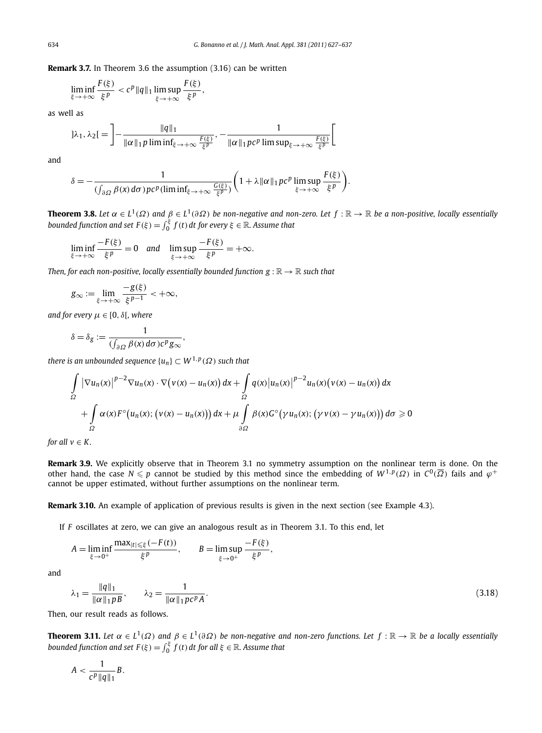**Remark 3.7.** In Theorem 3.6 the assumption (3.16) can be written

$$
\liminf_{\xi \to +\infty} \frac{F(\xi)}{\xi^p} < c^p \|q\|_1 \limsup_{\xi \to +\infty} \frac{F(\xi)}{\xi^p},
$$

as well as

$$
]\lambda_1, \lambda_2[ = \left] - \frac{\|q\|_1}{\|\alpha\|_1 p \liminf_{\xi \to +\infty} \frac{F(\xi)}{\xi^p}}, - \frac{1}{\|\alpha\|_1 p c^p \limsup_{\xi \to +\infty} \frac{F(\xi)}{\xi^p}} \right[
$$

and

$$
\delta = -\frac{1}{\left(\int_{\partial\Omega}\beta(x)\,d\sigma\right)p c^p(\liminf_{\xi\to+\infty}\frac{G(\xi)}{\xi^p})}\bigg(1+\lambda\|\alpha\|_1\,pc^p\limsup_{\xi\to+\infty}\frac{F(\xi)}{\xi^p}\bigg).
$$

**Theorem 3.8.** *Let*  $\alpha \in L^1(\Omega)$  and  $\beta \in L^1(\partial \Omega)$  be non-negative and non-zero. Let  $f : \mathbb{R} \to \mathbb{R}$  be a non-positive, locally essentially *bounded function and set*  $F(\xi) = \int_0^{\xi} f(t) dt$  *for every*  $\xi \in \mathbb{R}$ . Assume that

$$
\liminf_{\xi \to +\infty} \frac{-F(\xi)}{\xi^p} = 0 \quad \text{and} \quad \limsup_{\xi \to +\infty} \frac{-F(\xi)}{\xi^p} = +\infty.
$$

*Then, for each non-positive, locally essentially bounded function*  $g : \mathbb{R} \to \mathbb{R}$  *such that* 

$$
g_{\infty} := \lim_{\xi \to +\infty} \frac{-g(\xi)}{\xi^{p-1}} < +\infty,
$$

*and for every*  $\mu \in [0, \delta]$ *, where* 

$$
\delta = \delta_g := \frac{1}{(\int_{\partial \Omega} \beta(x) d\sigma) c^p g_{\infty}},
$$

*there is an unbounded sequence*  $\{u_n\} \subset W^{1,p}(\Omega)$  *such that* 

$$
\int_{\Omega} |\nabla u_n(x)|^{p-2} \nabla u_n(x) \cdot \nabla \big(v(x) - u_n(x)\big) dx + \int_{\Omega} q(x) |u_n(x)|^{p-2} u_n(x) \big(v(x) - u_n(x)\big) dx
$$
  
+ 
$$
\int_{\Omega} \alpha(x) F^{\circ} \big(u_n(x); \big(v(x) - u_n(x)\big)\big) dx + \mu \int_{\partial \Omega} \beta(x) G^{\circ} \big(\gamma u_n(x); \big(\gamma v(x) - \gamma u_n(x)\big)\big) d\sigma \ge 0
$$

*for all*  $v \in K$ *.* 

**Remark 3.9.** We explicitly observe that in Theorem 3.1 no symmetry assumption on the nonlinear term is done. On the other hand, the case  $N \leq p$  cannot be studied by this method since the embedding of  $W^{1,p}(\Omega)$  in  $C^0(\overline{\Omega})$  fails and  $\varphi^+$ cannot be upper estimated, without further assumptions on the nonlinear term.

**Remark 3.10.** An example of application of previous results is given in the next section (see Example 4.3).

If *F* oscillates at zero, we can give an analogous result as in Theorem 3.1. To this end, let

$$
A = \liminf_{\xi \to 0^+} \frac{\max_{|t| \le \xi} (-F(t))}{\xi^p}, \qquad B = \limsup_{\xi \to 0^+} \frac{-F(\xi)}{\xi^p},
$$

and

$$
\lambda_1 = \frac{\|q\|_1}{\|\alpha\|_1 p B}, \qquad \lambda_2 = \frac{1}{\|\alpha\|_1 p c^p A}.
$$
\n(3.18)

Then, our result reads as follows.

**Theorem 3.11.** *Let*  $\alpha \in L^1(\Omega)$  *and*  $\beta \in L^1(\partial\Omega)$  *be non-negative and non-zero functions. Let*  $f : \mathbb{R} \to \mathbb{R}$  *be a locally essentially bounded function and set*  $F(\xi) = \int_0^{\xi} f(t) dt$  *for all*  $\xi \in \mathbb{R}$ *. Assume that* 

$$
A < \frac{1}{c^p \|q\|_1} B.
$$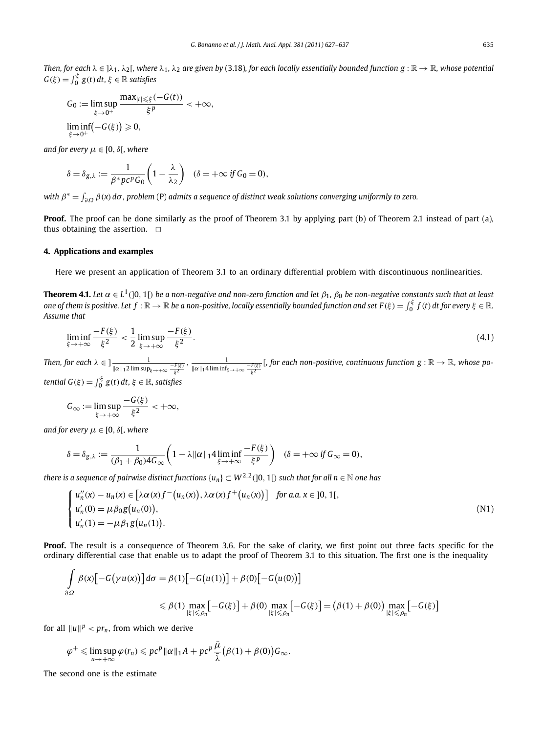*Then, for each*  $\lambda \in ]\lambda_1, \lambda_2[$ *, where*  $\lambda_1, \lambda_2$  *are given by* (3.18*), for each locally essentially bounded function g* :  $\mathbb{R} \to \mathbb{R}$ *, whose potential*  $G(\xi) = \int_0^{\xi} g(t) dt$ ,  $\xi \in \mathbb{R}$  *satisfies* 

$$
G_0 := \limsup_{\xi \to 0^+} \frac{\max_{|t| \le \xi} (-G(t))}{\xi^p} < +\infty,
$$
  

$$
\liminf_{\xi \to 0^+} (-G(\xi)) \ge 0,
$$

*and for every*  $\mu \in [0, \delta]$ *, where* 

$$
\delta = \delta_{g,\lambda} := \frac{1}{\beta^* p c^p G_0} \left( 1 - \frac{\lambda}{\lambda_2} \right) \quad (\delta = +\infty \text{ if } G_0 = 0),
$$

*with β*<sup>∗</sup> = *∂Ω β(x)dσ , problem* (P) *admits a sequence of distinct weak solutions converging uniformly to zero.*

**Proof.** The proof can be done similarly as the proof of Theorem 3.1 by applying part (b) of Theorem 2.1 instead of part (a), thus obtaining the assertion.  $\Box$ 

#### **4. Applications and examples**

Here we present an application of Theorem 3.1 to an ordinary differential problem with discontinuous nonlinearities.

**Theorem 4.1.** *Let*  $\alpha \in L^1(]0, 1[)$  *be a non-negative and non-zero function and let*  $\beta_1$ ,  $\beta_0$  *be non-negative constants such that at least*  $\phi$  *one of them is positive. Let*  $f:\mathbb{R}\to\mathbb{R}$  *be a non-positive, locally essentially bounded function and set*  $F(\xi)=\int_0^\xi f(t)\,dt$  *for every*  $\xi\in\mathbb{R}.$ *Assume that*

$$
\liminf_{\xi \to +\infty} \frac{-F(\xi)}{\xi^2} < \frac{1}{2} \limsup_{\xi \to +\infty} \frac{-F(\xi)}{\xi^2}.\tag{4.1}
$$

*Then, for each*  $\lambda \in$   $\frac{1}{\|\alpha\|_1 2 \limsup_{\xi \to +\infty} \frac{-F(\xi)}{\xi^2}}$ *,*  $\frac{1}{\|\alpha\|_1 4 \liminf_{\xi \to +\infty} \frac{-F(\xi)}{\xi^2}}$ [*, for each non-positive, continuous function*  $g : \mathbb{R} \to \mathbb{R}$ *, whose po-*

*tential*  $G(\xi) = \int_0^{\xi} g(t) dt$ ,  $\xi \in \mathbb{R}$ , satisfies

$$
G_{\infty} := \limsup_{\xi \to +\infty} \frac{-G(\xi)}{\xi^2} < +\infty,
$$

*and for every*  $\mu \in [0, \delta]$ *, where* 

$$
\delta = \delta_{g,\lambda} := \frac{1}{(\beta_1 + \beta_0)4G_{\infty}} \left(1 - \lambda \|\alpha\|_1 4 \liminf_{\xi \to +\infty} \frac{-F(\xi)}{\xi^p} \right) \quad (\delta = +\infty \text{ if } G_{\infty} = 0),
$$

*there is a sequence of pairwise distinct functions*  $\{u_n\} \subset W^{2,2}(]0,1[)$  *such that for all n*  $\in \mathbb{N}$  *one has* 

$$
\begin{cases}\nu_n''(x) - u_n(x) \in [\lambda \alpha(x) f^-(u_n(x)), \lambda \alpha(x) f^+(u_n(x))] & \text{for a.a. } x \in [0, 1[, \\
u_n'(0) = \mu \beta_0 g(u_n(0)), \\
u_n'(1) = -\mu \beta_1 g(u_n(1)).\n\end{cases} (N1)
$$

**Proof.** The result is a consequence of Theorem 3.6. For the sake of clarity, we first point out three facts specific for the ordinary differential case that enable us to adapt the proof of Theorem 3.1 to this situation. The first one is the inequality

$$
\int_{\partial\Omega} \beta(x) [-G(\gamma u(x))] d\sigma = \beta(1) [-G(u(1))] + \beta(0) [-G(u(0))]
$$
\n
$$
\leq \beta(1) \max_{|\xi| \leq \rho_n} [-G(\xi)] + \beta(0) \max_{|\xi| \leq \rho_n} [-G(\xi)] = (\beta(1) + \beta(0)) \max_{|\xi| \leq \rho_n} [-G(\xi)]
$$

for all  $||u||^p < pr_n$ , from which we derive

$$
\varphi^+\leqslant \limsup_{n\to+\infty}\varphi(r_n)\leqslant pc^p\|\alpha\|_1A+pc^p\frac{\bar{\mu}}{\bar{\lambda}}(\beta(1)+\beta(0))G_\infty.
$$

The second one is the estimate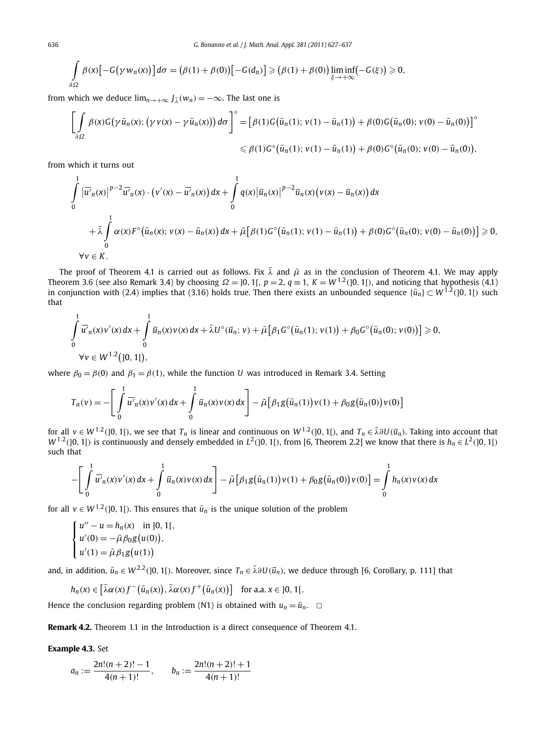$$
\int_{\partial\Omega}\beta(x)\big[-G(\gamma w_n(x))\big]d\sigma=\big(\beta(1)+\beta(0)\big)\big[-G(d_n)\big]\geqslant\big(\beta(1)+\beta(0)\big)\liminf_{\xi\to+\infty}\big(-G(\xi)\big)\geqslant 0,
$$

from which we deduce  $\lim_{n\to+\infty} J_{\lambda}(w_n) = -\infty$ . The last one is

$$
\left[\int_{\partial\Omega}\beta(x)G(\gamma\bar{u}_{n}(x);(\gamma v(x)-\gamma\bar{u}_{n}(x)))d\sigma\right]^{\circ}=\left[\beta(1)G(\bar{u}_{n}(1);v(1)-\bar{u}_{n}(1))+\beta(0)G(\bar{u}_{n}(0);v(0)-\bar{u}_{n}(0))\right]^{\circ} \leq \beta(1)G^{\circ}(\bar{u}_{n}(1);v(1)-\bar{u}_{n}(1))+\beta(0)G^{\circ}(\bar{u}_{n}(0);v(0)-\bar{u}_{n}(0)),
$$

from which it turns out

$$
\int_{0}^{1} |\overline{u'}_{n}(x)|^{p-2} \overline{u'}_{n}(x) \cdot (v'(x) - \overline{u'}_{n}(x)) dx + \int_{0}^{1} q(x) |\overline{u}_{n}(x)|^{p-2} \overline{u}_{n}(x) (v(x) - \overline{u}_{n}(x)) dx \n+ \overline{\lambda} \int_{0}^{1} \alpha(x) F^{\circ}(\overline{u}_{n}(x); v(x) - \overline{u}_{n}(x)) dx + \overline{\mu} [\beta(1) G^{\circ}(\overline{u}_{n}(1); v(1) - \overline{u}_{n}(1)) + \beta(0) G^{\circ}(\overline{u}_{n}(0); v(0) - \overline{u}_{n}(0))] \ge 0, \n\forall v \in K.
$$

The proof of Theorem 4.1 is carried out as follows. Fix  $\bar{\lambda}$  and  $\bar{\mu}$  as in the conclusion of Theorem 4.1. We may apply Theorem 3.6 (see also Remark 3.4) by choosing  $\Omega = ]0, 1[$ ,  $p = 2$ ,  $q = 1$ ,  $K = W^{1,2}(]0, 1[)$ , and noticing that hypothesis (4.1) in conjunction with (2.4) implies that (3.16) holds true. Then there exists an unbounded sequence  $\{\bar{u}_n\} \subset W^{1,2}(]0,1[)$  such that

$$
\int_{0}^{1} \overline{u'}_n(x) v'(x) dx + \int_{0}^{1} \overline{u}_n(x) v(x) dx + \overline{\lambda} U^{\circ}(\overline{u}_n; v) + \overline{\mu} [\beta_1 G^{\circ}(\overline{u}_n(1); v(1)) + \beta_0 G^{\circ}(\overline{u}_n(0); v(0))] \ge 0,
$$
  
  $\forall v \in W^{1,2}(]0, 1[),$ 

where  $\beta_0 = \beta(0)$  and  $\beta_1 = \beta(1)$ , while the function *U* was introduced in Remark 3.4. Setting

$$
T_n(v) = -\left[\int_0^1 \overline{u'}_n(x) v'(x) dx + \int_0^1 \overline{u}_n(x) v(x) dx\right] - \overline{\mu}\left[\beta_1 g(\overline{u}_n(1)) v(1) + \beta_0 g(\overline{u}_n(0)) v(0)\right]
$$

for all  $v \in W^{1,2}(]0,1[)$ , we see that  $T_n$  is linear and continuous on  $W^{1,2}(]0,1[)$ , and  $T_n \in \bar{\lambda}\partial U(\bar{u}_n)$ . Taking into account that  $W^{1.2}$ (]0, 1[) is continuously and densely embedded in  $L^2$ (]0, 1[), from [6, Theorem 2.2] we know that there is  $h_n \in L^2$ (]0, 1[) such that

$$
-\left[\int_{0}^{1} \overline{u'}_n(x) v'(x) dx + \int_{0}^{1} \overline{u}_n(x) v(x) dx\right] - \overline{\mu}\left[\beta_1 g(\overline{u}_n(1)) v(1) + \beta_0 g(\overline{u}_n(0)) v(0)\right] = \int_{0}^{1} h_n(x) v(x) dx
$$

for all  $v \in W^{1,2}(]0,1[)$ . This ensures that  $\bar{u}_n$  is the unique solution of the problem

$$
\begin{cases}\nu'' - u = h_n(x) & \text{in } [0, 1[, \\
u'(0) = -\bar{\mu}\beta_0 g(u(0)), \\
u'(1) = \bar{\mu}\beta_1 g(u(1))\n\end{cases}
$$

and, in addition,  $\bar{u}_n \in W^{2,2}(]0,1[)$ . Moreover, since  $T_n \in \bar{\lambda} \partial U(\bar{u}_n)$ , we deduce through [6, Corollary, p. 111] that

$$
h_n(x) \in \left[\bar{\lambda}\alpha(x)f^{-}(\bar{u}_n(x)), \bar{\lambda}\alpha(x)f^{+}(\bar{u}_n(x))\right] \text{ for a.a. } x \in ]0, 1[.
$$

Hence the conclusion regarding problem (N1) is obtained with  $u_n = \bar{u}_n$ .  $\Box$ 

**Remark 4.2.** Theorem 1.1 in the Introduction is a direct consequence of Theorem 4.1.

#### **Example 4.3.** Set

$$
a_n := \frac{2n!(n+2)!-1}{4(n+1)!}, \qquad b_n := \frac{2n!(n+2)!+1}{4(n+1)!}
$$